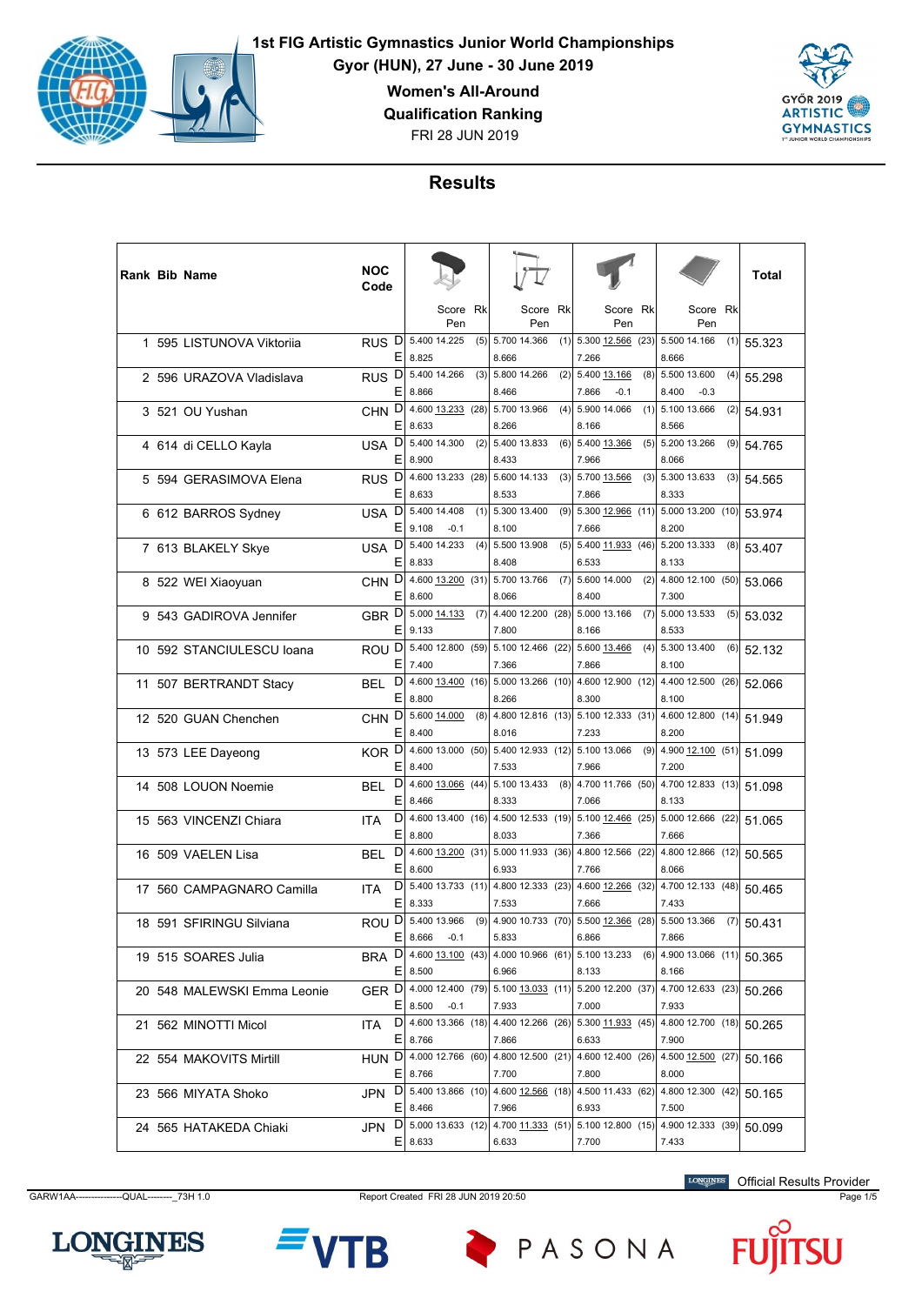

**Gyor (HUN), 27 June - 30 June 2019**

**Women's All-Around**

**Qualification Ranking**

FRI 28 JUN 2019



# **Results**

|  | <b>Rank Bib Name</b>        | NOC<br>Code            |             |                         |      |                                                                                        |     |                                              |      |                                  |     | Total  |
|--|-----------------------------|------------------------|-------------|-------------------------|------|----------------------------------------------------------------------------------------|-----|----------------------------------------------|------|----------------------------------|-----|--------|
|  |                             |                        |             | Score<br>Pen            | Rk   | Score<br>Pen                                                                           | Rk  | Score<br>Pen                                 | Rk   | Score<br>Pen                     | Rk  |        |
|  | 1 595 LISTUNOVA Viktorija   | RUS <sup>D</sup><br>Е  | 8.825       | 5.400 14.225            | (5)  | 5.700 14.366<br>8.666                                                                  |     | $(1)$ 5.300 12.566 (23)<br>7.266             |      | 5.500 14.166<br>8.666            | (1) | 55.323 |
|  | 2 596 URAZOVA Vladislava    | RUS <sup>D</sup><br>Ε  | 8.866       | 5.400 14.266            | (3)  | 5.800 14.266<br>8.466                                                                  |     | $(2)$ 5.400 13.166<br>7.866<br>$-0.1$        | (8)  | 5.500 13.600<br>8.400<br>$-0.3$  | (4) | 55.298 |
|  | 3 521 OU Yushan             | CHN <sub>D</sub><br>Ε  | 8.633       | 4.600 13.233 (28)       |      | 5.700 13.966<br>8.266                                                                  | (4) | 5.900 14.066<br>8.166                        | (1)  | 5.100 13.666<br>8.566            | (2) | 54.931 |
|  | 4 614 di CELLO Kayla        | D<br><b>USA</b><br>Е   | 8.900       | 5.400 14.300            | (2)  | 5.400 13.833<br>8.433                                                                  |     | $(6)$ 5.400 13.366<br>7.966                  |      | $(5)$ 5.200 13.266<br>8.066      | (9) | 54.765 |
|  | 5 594 GERASIMOVA Elena      | RUS <sub>D</sub><br>Ε  | 8.633       | 4.600 13.233            | (28) | 5.600 14.133<br>8.533                                                                  |     | $(3)$ 5.700 13.566<br>7.866                  | (3)  | 5.300 13.633<br>8.333            | (3) | 54.565 |
|  | 6 612 BARROS Sydney         | D<br>USA<br>Ε          | 9.108       | 5.400 14.408<br>$-0.1$  | (1)  | 5.300 13.400<br>8.100                                                                  | (9) | 5.300 12.966<br>7.666                        | (11) | 5.000 13.200 (10)<br>8.200       |     | 53.974 |
|  | 7 613 BLAKELY Skye          | D<br>USA<br>E.         | 8.833       | 5.400 14.233            | (4)  | 5.500 13.908<br>8.408                                                                  |     | $(5)$ 5.400 11.933 (46)<br>6.533             |      | 5.200 13.333<br>8.133            | (8) | 53.407 |
|  | 8 522 WEI Xiaoyuan          | CHN <sub>D</sub><br>Ε  | 8.600       | 4.600 13.200 (31)       |      | 5.700 13.766<br>8.066                                                                  | (7) | 5.600 14.000<br>8.400                        | (2)  | 4.800 12.100 (50)<br>7.300       |     | 53.066 |
|  | 9 543 GADIROVA Jennifer     | GBR <sup>D</sup><br>Ε  | 9.133       | 5.000 14.133            | (7)  | 4.400 12.200 (28)<br>7.800                                                             |     | 5.000 13.166<br>8.166                        | (7)  | 5.000 13.533<br>8.533            | (5) | 53.032 |
|  | 10 592 STANCIULESCU Ioana   | ROU <sup>D</sup><br>Е  | 7.400       | 5.400 12.800 (59)       |      | 5.100 12.466 (22) 5.600 13.466<br>7.366                                                |     | 7.866                                        | (4)  | 5.300 13.400<br>8.100            | (6) | 52.132 |
|  | 11 507 BERTRANDT Stacy      | D<br>BEL<br>E          | 8.800       | 4.600 13.400 (16)       |      | 5.000 13.266 (10)<br>8.266                                                             |     | 4.600 12.900 (12)<br>8.300                   |      | 4.400 12.500 (26)<br>8.100       |     | 52.066 |
|  | 12 520 GUAN Chenchen        | D<br><b>CHN</b><br>Ε   | 8.400       | 5.600 14.000            | (8)  | 8.016                                                                                  |     | 4.800 12.816 (13) 5.100 12.333 (31)<br>7.233 |      | 4.600 12.800 (14)<br>8.200       |     | 51.949 |
|  | 13 573 LEE Dayeong          | KOR <sup>D</sup><br>E. | 8.400       | 4.600 13.000 (50)       |      | 5.400 12.933 (12) 5.100 13.066<br>7.533                                                |     | 7.966                                        | (9)  | 4.900 12.100 (51)<br>7.200       |     | 51.099 |
|  | 14 508 LOUON Noemie         | D<br><b>BEL</b><br>Е   | 8.466       | 4.600 13.066 (44)       |      | 5.100 13.433<br>8.333                                                                  | (8) | 4.700 11.766 (50)<br>7.066                   |      | 4.700 12.833 (13)<br>8.133       |     | 51.098 |
|  | 15 563 VINCENZI Chiara      | D<br><b>ITA</b><br>Ε   | 8.800       | 4.600 13.400 (16)       |      | 4.500 12.533 (19)<br>8.033                                                             |     | 5.100 12.466 (25)<br>7.366                   |      | 5.000 12.666 (22)<br>7.666       |     | 51.065 |
|  | 16 509 VAELEN Lisa          | D<br><b>BEL</b><br>E   | 8.600       | 4.600 13.200 (31)       |      | 6.933                                                                                  |     | 5.000 11.933 (36) 4.800 12.566 (22)<br>7.766 |      | 4.800 12.866 (12)<br>8.066       |     | 50.565 |
|  | 17 560 CAMPAGNARO Camilla   | D<br><b>ITA</b><br>E   | 8.333       |                         |      | 5.400 13.733 (11) 4.800 12.333 (23)<br>7.533                                           |     | 4.600 12.266 (32)<br>7.666                   |      | 4.700 12.133 (48)<br>7.433       |     | 50.465 |
|  | 18 591 SFIRINGU Silviana    | D<br>ROU<br>Ε          | 8.666       | 5.400 13.966<br>$-0.1$  | (9)  | 4.900 10.733 (70)<br>5.833                                                             |     | 5.500 12.366<br>6.866                        | (28) | 5.500 13.366<br>7.866            | (7) | 50.431 |
|  | 19 515 SOARES Julia         |                        | $E$   8.500 |                         |      | BRA D 4.600 13.100 (43) 4.000 10.966 (61) 5.100 13.233<br>6.966                        |     | 8.133                                        |      | $(6)$ 4.900 13.066 (11)<br>8.166 |     | 50.365 |
|  | 20 548 MALEWSKI Emma Leonie |                        |             | $E$   8.500 -0.1        |      | GER D 4.000 12.400 (79) 5.100 13.033 (11) 5.200 12.200 (37)<br>7.933                   |     | 7.000                                        |      | 4.700 12.633 (23)<br>7.933       |     | 50.266 |
|  | 21 562 MINOTTI Micol        | ITA.                   | $E$ 8.766   | $D$   4.600 13.366 (18) |      | 7.866                                                                                  |     | 4.400 12.266 (26) 5.300 11.933 (45)<br>6.633 |      | 4.800 12.700 (18)<br>7.900       |     | 50.265 |
|  | 22 554 MAKOVITS Mirtill     |                        | $E$ 8.766   |                         |      | HUN D 4.000 12.766 (60) 4.800 12.500 (21) 4.600 12.400 (26) 4.500 12.500 (27)<br>7.700 |     | 7.800                                        |      | 8.000                            |     | 50.166 |
|  | 23 566 MIYATA Shoko         |                        | $E$ 8.466   |                         |      | JPN D 5.400 13.866 (10) 4.600 12.566 (18) 4.500 11.433 (62)<br>7.966                   |     | 6.933                                        |      | 4.800 12.300 (42)<br>7.500       |     | 50.165 |
|  | 24 565 HATAKEDA Chiaki      |                        | $E$   8.633 | JPN D 5.000 13.633 (12) |      | 6.633                                                                                  |     | 4.700 11.333 (51) 5.100 12.800 (15)<br>7.700 |      | 4.900 12.333 (39)<br>7.433       |     | 50.099 |

GARW1AA---------------QUAL--------\_73H 1.0 Report Created FRI 28 JUN 2019 20:50 Page 1/5

Official Results Provider







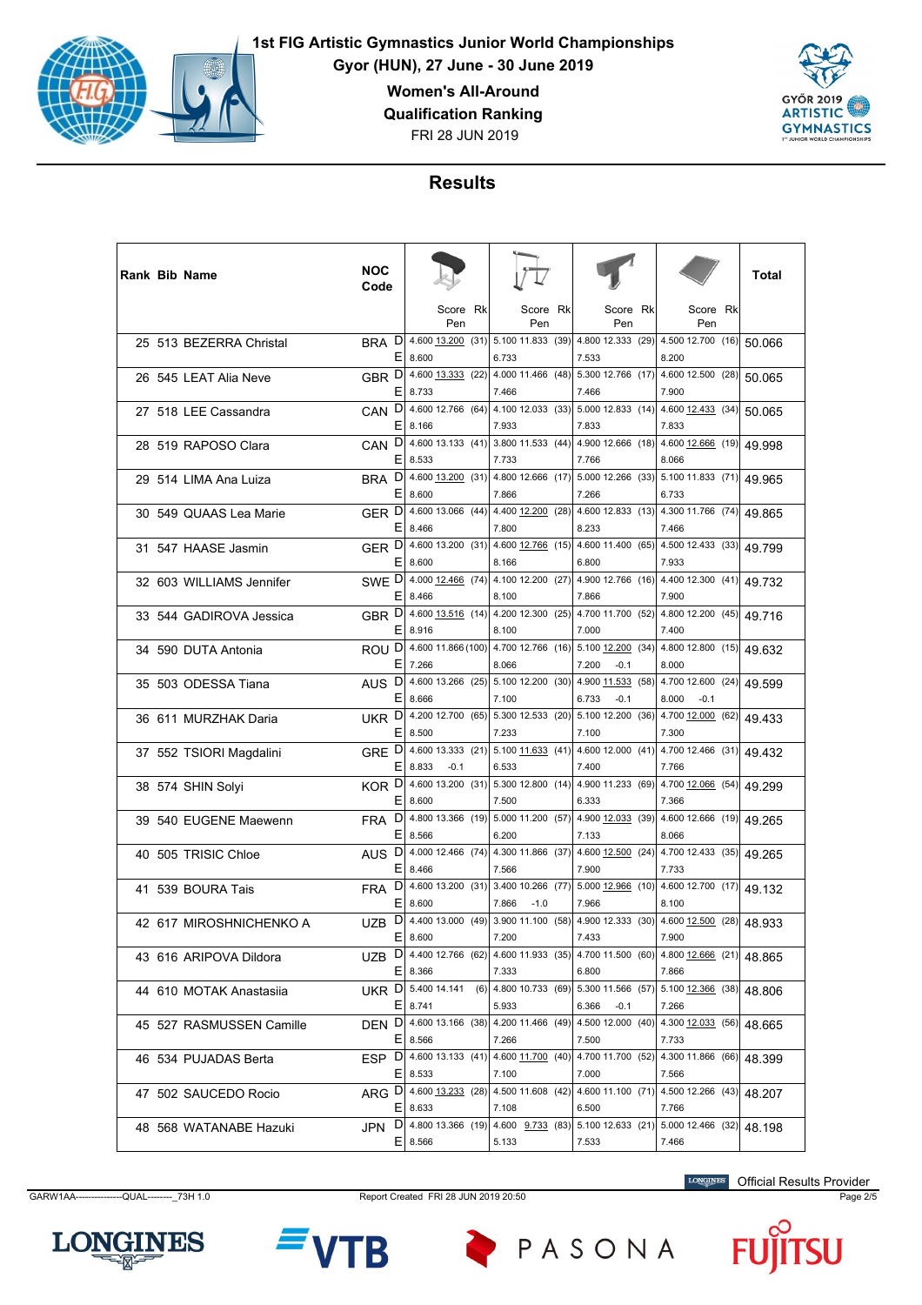

**Gyor (HUN), 27 June - 30 June 2019**

**Women's All-Around**

**Qualification Ranking**

FRI 28 JUN 2019



# **Results**

|  | <b>Rank Bib Name</b>     | <b>NOC</b><br>Code    |                                                                                              |                                                                    |      |                                                                |      |                                              | Total  |
|--|--------------------------|-----------------------|----------------------------------------------------------------------------------------------|--------------------------------------------------------------------|------|----------------------------------------------------------------|------|----------------------------------------------|--------|
|  |                          |                       | Score Rk<br>Pen                                                                              | Score Rk<br>Pen                                                    |      | Score<br>Pen                                                   | Rk   | Score Rk<br>Pen                              |        |
|  | 25 513 BEZERRA Christal  | D<br><b>BRA</b><br>Е  | 4.600 13.200 (31)<br>8.600                                                                   | 6.733                                                              |      | 5.100 11.833 (39) 4.800 12.333 (29)<br>7.533                   |      | 4.500 12.700 (16)<br>8.200                   | 50.066 |
|  | 26 545 LEAT Alia Neve    | GBR <sub>D</sub><br>Ε | 4.600 13.333 (22)<br>8.733                                                                   | 7.466                                                              |      | 4.000 11.466 (48) 5.300 12.766 (17)<br>7.466                   |      | 4.600 12.500 (28)<br>7.900                   | 50.065 |
|  | 27 518 LEE Cassandra     | CAN D<br>Ε            | 4.600 12.766 (64)<br>8.166                                                                   | 4.100 12.033 (33)<br>7.933                                         |      | 7.833                                                          |      | 5.000 12.833 (14) 4.600 12.433 (34)<br>7.833 | 50.065 |
|  | 28 519 RAPOSO Clara      | D<br><b>CAN</b><br>Е  | 4.60013.133(41)<br>8.533                                                                     | 7.733                                                              |      | 3.800 11.533 (44) 4.900 12.666 (18) 4.600 12.666 (19)<br>7.766 |      | 8.066                                        | 49.998 |
|  | 29 514 LIMA Ana Luiza    | D<br><b>BRA</b><br>E  | 4.600 13.200 (31)<br>8.600                                                                   | 7.866                                                              |      | 4.800 12.666 (17) 5.000 12.266 (33) 5.100 11.833 (71)<br>7.266 |      | 6.733                                        | 49.965 |
|  | 30 549 QUAAS Lea Marie   | GER D<br>Ε            | 4.600 13.066 (44)<br>8.466                                                                   | 4.400 12.200 (28)<br>7.800                                         |      | 8.233                                                          |      | 4.600 12.833 (13) 4.300 11.766 (74)<br>7.466 | 49.865 |
|  | 31 547 HAASE Jasmin      | GER D<br>Е            | 4.600 13.200 (31)<br>8.600                                                                   | 8.166                                                              |      | 4.600 12.766 (15) 4.600 11.400 (65) 4.500 12.433 (33)<br>6.800 |      | 7.933                                        | 49.799 |
|  | 32 603 WILLIAMS Jennifer | SWE D                 | 4.000 12.466 (74)                                                                            |                                                                    |      | 4.100 12.200 (27) 4.900 12.766 (16)                            |      | 4.400 12.300 (41)                            | 49.732 |
|  | 33 544 GADIROVA Jessica  | Ε<br>GBR <sub>D</sub> | 8.466<br>4.600 13.516 (14)                                                                   | 8.100                                                              |      | 7.866<br>4.200 12.300 (25) 4.700 11.700 (52)                   |      | 7.900<br>4.800 12.200 (45)                   | 49.716 |
|  | 34 590 DUTA Antonia      | Ε<br>ROU <sup>D</sup> | 8.916                                                                                        | 8.100<br>4.600 11.866 (100) 4.700 12.766 (16) 5.100 12.200 (34)    |      | 7.000                                                          |      | 7.400<br>4.800 12.800 (15)                   | 49.632 |
|  | 35 503 ODESSA Tiana      | Е<br>AUS <sub>D</sub> | 7.266<br>4.600 13.266 (25)                                                                   | 8.066<br>$5.100$ 12.200 (30)                                       |      | 7.200<br>$-0.1$<br>4.900 11.533 (58)                           |      | 8.000<br>4.700 12.600 (24)                   | 49.599 |
|  | 36 611 MURZHAK Daria     | E<br>UKR D            | 8.666<br>4.200 12.700 (65)                                                                   | 7.100<br>5.300 12.533 (20)                                         |      | 6.733<br>$-0.1$<br>5.100 12.200                                | (36) | 8.000<br>$-0.1$<br>4.700 12.000 (62)         | 49.433 |
|  | 37 552 TSIORI Magdalini  | Ε<br>GRE D            | 8.500<br>4.600 13.333 (21)                                                                   | 7.233                                                              |      | 7.100<br>5.100 11.633 (41) 4.600 12.000 (41) 4.700 12.466 (31) |      | 7.300                                        | 49.432 |
|  | 38 574 SHIN Solyi        | Е<br>KOR <sup>D</sup> | 8.833<br>$-0.1$<br>4.600 13.200 (31)                                                         | 6.533                                                              |      | 7.400<br>5.300 12.800 (14) 4.900 11.233 (69)                   |      | 7.766<br>4.700 12.066 (54)                   | 49.299 |
|  | 39 540 EUGENE Maewenn    | Ε<br>D<br><b>FRA</b>  | 8.600<br>4.800 13.366 (19)                                                                   | 7.500                                                              |      | 6.333<br>5.000 11.200 (57) 4.900 12.033 (39)                   |      | 7.366<br>4.600 12.666 (19)                   | 49.265 |
|  | 40 505 TRISIC Chloe      | Ε<br>D<br><b>AUS</b>  | 8.566<br>4.000 12.466 (74)                                                                   | 6.200                                                              |      | 7.133<br>4.300 11.866 (37) 4.600 12.500 (24)                   |      | 8.066<br>4.700 12.433 (35)                   | 49.265 |
|  | 41 539 BOURA Tais        | Е<br>D<br><b>FRA</b>  | 8.466<br>4.600 13.200 (31)                                                                   | 7.566                                                              |      | 7.900<br>3.400 10.266 (77) 5.000 12.966 (10)                   |      | 7.733<br>4.600 12.700 (17)                   | 49.132 |
|  | 42 617 MIROSHNICHENKO A  | E<br>D                | 8.600<br>4.400 13.000 (49)                                                                   | 7.866<br>$-1.0$<br>3.900 11.100                                    | (58) | 7.966                                                          |      | 8.100<br>4.900 12.333 (30) 4.600 12.500 (28) |        |
|  |                          | UZB<br>Ε              | 8.600                                                                                        | 7.200                                                              |      | 7.433                                                          |      | 7.900                                        | 48.933 |
|  | 43 616 ARIPOVA Dildora   |                       | UZB D 4.400 12.766 (62) 4.600 11.933 (35) 4.700 11.500 (60) 4.800 12.666 (21)<br>$E$ 8.366   | 7.333                                                              |      | 6.800                                                          |      | 7.866                                        | 48.865 |
|  | 44 610 MOTAK Anastasija  | Е                     | UKR D 5.400 14.141<br>8.741                                                                  | (6) 4.800 10.733 (69) 5.300 11.566 (57) 5.100 12.366 (38)<br>5.933 |      | 6.366<br>$-0.1$                                                |      | 7.266                                        | 48.806 |
|  | 45 527 RASMUSSEN Camille | DEN <sub>D</sub>      | 4.600 13.166 (38)<br>$E$   8.566                                                             | 7.266                                                              |      | 4.200 11.466 (49) 4.500 12.000 (40)<br>7.500                   |      | 4.300 12.033 (56)<br>7.733                   | 48.665 |
|  | 46 534 PUJADAS Berta     |                       | ESP D 4.600 13.133 (41) 4.600 11.700 (40) 4.700 11.700 (52) 4.300 11.866 (66)<br>$E$   8.533 | 7.100                                                              |      | 7.000                                                          |      | 7.566                                        | 48.399 |
|  | 47 502 SAUCEDO Rocio     |                       | ARG D 4.600 13.233 (28) 4.500 11.608 (42) 4.600 11.100 (71) 4.500 12.266 (43)<br>$E$   8.633 | 7.108                                                              |      | 6.500                                                          |      | 7.766                                        | 48.207 |
|  | 48 568 WATANABE Hazuki   | JPN D                 | 4.800 13.366 (19)<br>$E$ 8.566                                                               | 5.133                                                              |      | 4.600 9.733 (83) 5.100 12.633 (21)<br>7.533                    |      | 5.000 12.466 (32)<br>7.466                   | 48.198 |

GARW1AA---------------QUAL--------\_73H 1.0 Report Created FRI 28 JUN 2019 20:50 Page 2/5

Official Results Provider





PASONA

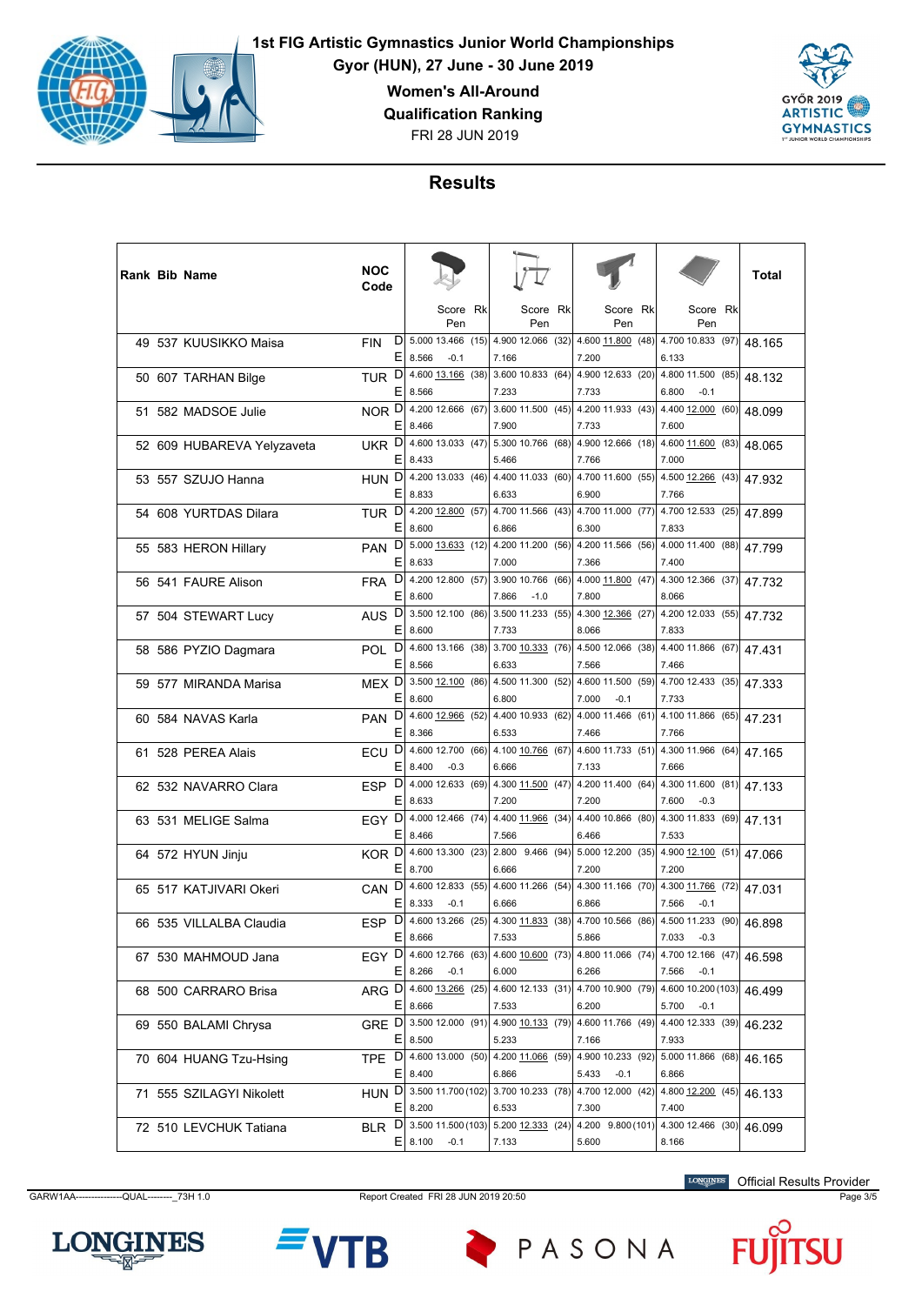

**Gyor (HUN), 27 June - 30 June 2019**

**Women's All-Around**

**Qualification Ranking**

FRI 28 JUN 2019



# **Results**

|  | <b>Rank Bib Name</b>       | NOC<br>Code      |        |                                            |      |                                                                |  |                            |      |                                                                |  |        |
|--|----------------------------|------------------|--------|--------------------------------------------|------|----------------------------------------------------------------|--|----------------------------|------|----------------------------------------------------------------|--|--------|
|  |                            |                  |        | Score Rk<br>Pen                            |      | Score Rk<br>Pen                                                |  | Score Rk<br>Pen            |      | Score Rk<br>Pen                                                |  |        |
|  | 49 537 KUUSIKKO Maisa      | <b>FIN</b>       | D<br>E | 5.000 13.466 (15)<br>8.566<br>$-0.1$       |      | 4.900 12.066 (32) 4.600 11.800 (48)<br>7.166                   |  | 7.200                      |      | 4.700 10.833 (97)<br>6.133                                     |  | 48.165 |
|  | 50 607 TARHAN Bilge        | <b>TUR</b>       | D<br>Е | 4.600 13.166 (38)<br>8.566                 |      | 3.600 10.833 (64) 4.900 12.633 (20)<br>7.233                   |  | 7.733                      |      | 4.800 11.500 (85)<br>6.800<br>$-0.1$                           |  | 48.132 |
|  | 51 582 MADSOE Julie        | NOR D            |        | 4.200 12.666 (67)                          |      | 3.600 11.500 (45) 4.200 11.933 (43)                            |  |                            |      | 4.400 12.000 (60)                                              |  | 48.099 |
|  | 52 609 HUBAREVA Yelyzaveta | UKR D            | Ε      | 8.466<br>4.600 13.033 (47)                 |      | 7.900<br>5.300 10.766 (68) 4.900 12.666 (18) 4.600 11.600 (83) |  | 7.733                      |      | 7.600                                                          |  | 48.065 |
|  | 53 557 SZUJO Hanna         | HUN D            | E      | 8.433<br>4.200 13.033 (46)                 |      | 5.466<br>4.400 11.033 (60)                                     |  | 7.766<br>4.700 11.600 (55) |      | 7.000<br>4.500 12.266 (43)                                     |  | 47.932 |
|  | 54 608 YURTDAS Dilara      | TUR <sup>D</sup> | Е      | 8.833<br>4.200 12.800 (57)                 |      | 6.633<br>4.700 11.566 (43)                                     |  | 6.900<br>4.700 11.000 (77) |      | 7.766<br>4.700 12.533 (25)                                     |  | 47.899 |
|  | 55 583 HERON Hillary       | <b>PAN</b>       | Ε<br>D | 8.600<br>$5.000$ $13.633$ (12)             |      | 6.866<br>4.200 11.200 (56) 4.200 11.566 (56) 4.000 11.400 (88) |  | 6.300                      |      | 7.833                                                          |  | 47.799 |
|  | 56 541 FAURE Alison        | <b>FRA</b>       | Е<br>D | 8.633<br>4.200 12.800 (57)                 |      | 7.000<br>3.900 10.766 (66) 4.000 11.800 (47)                   |  | 7.366                      |      | 7.400<br>4.300 12.366 (37)                                     |  | 47.732 |
|  | 57 504 STEWART Lucy        | <b>AUS</b>       | Е<br>D | 8.600<br>3.500 12.100 (86)                 |      | 7.866<br>$-1.0$<br>3.500 11.233 (55)                           |  | 7.800<br>4.300 12.366 (27) |      | 8.066<br>4.200 12.033 (55)                                     |  | 47.732 |
|  |                            |                  | Ε<br>D | 8.600<br>4.600 13.166 (38)                 |      | 7.733<br>3.700 10.333 (76) 4.500 12.066 (38) 4.400 11.866 (67) |  | 8.066                      |      | 7.833                                                          |  |        |
|  | 58 586 PYZIO Dagmara       | <b>POL</b>       | E      | 8.566                                      |      | 6.633                                                          |  | 7.566<br>4.600 11.500      |      | 7.466                                                          |  | 47.431 |
|  | 59 577 MIRANDA Marisa      | MEX <sub>D</sub> | Е      | 3.500 12.100 (86)<br>8.600                 |      | 4.500 11.300 (52)<br>6.800                                     |  | 7.000<br>$-0.1$            | (59) | 4.700 12.433 (35)<br>7.733                                     |  | 47.333 |
|  | 60 584 NAVAS Karla         | <b>PAN</b>       | D<br>Ε | 4.600 12.966 (52)<br>8.366                 |      | 4.400 10.933 (62)<br>6.533                                     |  | 4.000 11.466 (61)<br>7.466 |      | 4.100 11.866 (65)<br>7.766                                     |  | 47.231 |
|  | 61 528 PEREA Alais         | ECU              | D<br>Е | 4.600 12.700 (66)<br>8.400<br>$-0.3$       |      | 6.666                                                          |  | 7.133                      |      | 4.100 10.766 (67) 4.600 11.733 (51) 4.300 11.966 (64)<br>7.666 |  | 47.165 |
|  | 62 532 NAVARRO Clara       | ESP <sub>D</sub> | Е      | 4.000 12.633 (69)<br>8.633                 |      | 4.300 11.500 (47)<br>7.200                                     |  | 4.200 11.400 (64)<br>7.200 |      | 4.300 11.600 (81)<br>7.600<br>$-0.3$                           |  | 47.133 |
|  | 63 531 MELIGE Salma        | EGY D            | Ε      | 4.000 12.466 (74)<br>8.466                 |      | 4.400 11.966 (34)<br>7.566                                     |  | 4.400 10.866 (80)<br>6.466 |      | 4.300 11.833 (69)<br>7.533                                     |  | 47.131 |
|  | 64 572 HYUN Jinju          | KOR D            | E      | 4.600 13.300 (23)<br>8.700                 |      | 2.800 9.466 (94) 5.000 12.200 (35) 4.900 12.100 (51)<br>6.666  |  | 7.200                      |      | 7.200                                                          |  | 47.066 |
|  | 65 517 KATJIVARI Okeri     | CAN <sub>D</sub> | Е      | 4.600 12.833 (55)<br>8.333<br>$-0.1$       |      | 4.600 11.266 (54) 4.300 11.166 (70)<br>6.666                   |  | 6.866                      |      | 4.300 11.766 (72)<br>7.566<br>$-0.1$                           |  | 47.031 |
|  | 66 535 VILLALBA Claudia    | <b>ESP</b>       | D<br>Ε | 4.600 13.266<br>8.666                      | (25) | 4.300 11.833 (38)<br>7.533                                     |  | 4.700 10.566 (86)<br>5.866 |      | 4.500 11.233 (90)<br>7.033<br>$-0.3$                           |  | 46.898 |
|  | 67 530 MAHMOUD Jana        | EGY D            | Е      | 4.600 12.766 (63)                          |      | 4.600 10.600 (73)                                              |  | 4.800 11.066 (74)          |      | 4.700 12.166 (47)                                              |  | 46.598 |
|  | 68 500 CARRARO Brisa       |                  |        | 8.266<br>$-0.1$<br>ARG D 4.600 13.266 (25) |      | 6.000<br>4.600 12.133 (31) 4.700 10.900 (79)                   |  | 6.266                      |      | 7.566<br>$-0.1$<br>4.600 10.200 (103)                          |  | 46.499 |
|  | 69 550 BALAMI Chrysa       | GRE D            | E.     | 8.666<br>3.500 12.000 (91)                 |      | 7.533<br>4.900 10.133 (79) 4.600 11.766 (49)                   |  | 6.200                      |      | 5.700<br>$-0.1$<br>4.400 12.333 (39)                           |  | 46.232 |
|  | 70 604 HUANG Tzu-Hsing     | TPE D            | Е      | 8.500<br>4.600 13.000 (50)                 |      | 5.233<br>4.200 11.066 (59)                                     |  | 7.166<br>4.900 10.233 (92) |      | 7.933<br>5.000 11.866 (68)                                     |  | 46.165 |
|  | 71 555 SZILAGYI Nikolett   |                  |        | $E$   8.400<br>HUN D 3.500 11.700 (102)    |      | 6.866<br>3.700 10.233 (78) 4.700 12.000 (42) 4.800 12.200 (45) |  | 5.433<br>$-0.1$            |      | 6.866                                                          |  | 46.133 |
|  | 72 510 LEVCHUK Tatiana     |                  |        | $E$   8.200<br>BLR D 3.500 11.500 (103)    |      | 6.533<br>5.200 12.333 (24) 4.200 9.800 (101)                   |  | 7.300                      |      | 7.400<br>4.300 12.466 (30)                                     |  | 46.099 |
|  |                            |                  |        | $E$   8.100<br>$-0.1$                      |      | 7.133                                                          |  | 5.600                      |      | 8.166                                                          |  |        |

GARW1AA---------------QUAL--------\_73H 1.0 Report Created FRI 28 JUN 2019 20:50 Page 3/5

Official Results Provider





PASONA

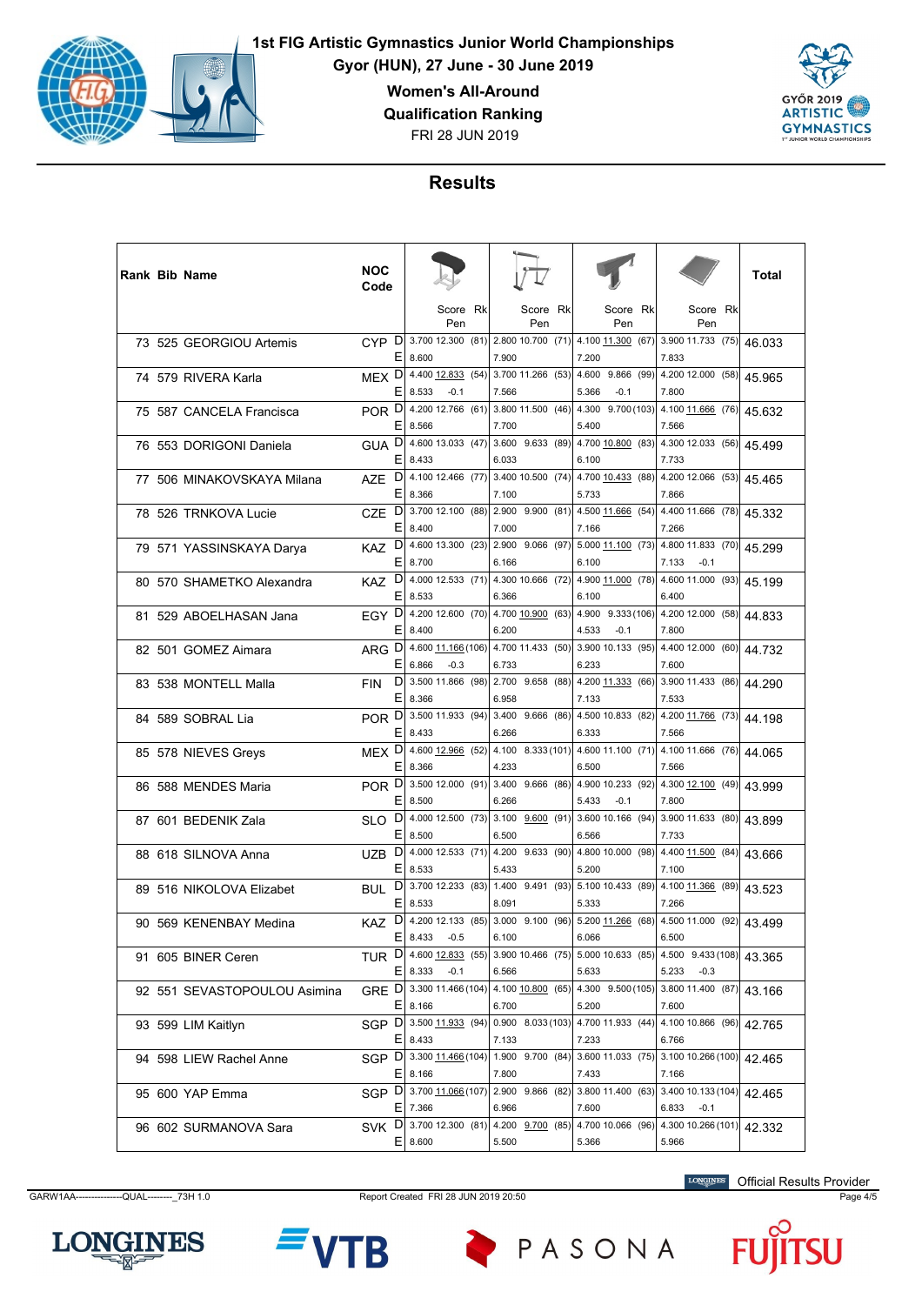

**Gyor (HUN), 27 June - 30 June 2019**

**Women's All-Around**

**Qualification Ranking**

FRI 28 JUN 2019



# **Results**

|  | Rank Bib Name                | NOC<br>Code              |                  |                              |                                                                         |    |                |                             |      |                                                                                                           | Total  |
|--|------------------------------|--------------------------|------------------|------------------------------|-------------------------------------------------------------------------|----|----------------|-----------------------------|------|-----------------------------------------------------------------------------------------------------------|--------|
|  |                              |                          |                  | Score Rk<br>Pen              | Score<br>Pen                                                            | Rk |                | Score Rk<br>Pen             |      | Score Rk<br>Pen                                                                                           |        |
|  | 73 525 GEORGIOU Artemis      |                          | $E$ 8.600        |                              | CYP D 3.700 12.300 (81) 2.800 10.700 (71) 4.100 11.300 (67)<br>7.900    |    | 7.200          |                             |      | 3.900 11.733 (75)<br>7.833                                                                                | 46.033 |
|  | 74 579 RIVERA Karla          | MEX <sub>D</sub><br>Ε    | 8.533            | 4.400 12.833 (54)<br>$-0.1$  | 3.700 11.266 (53)<br>7.566                                              |    | 4.600<br>5.366 | 9.866<br>$-0.1$             | (99) | 4.200 12.000 (58)<br>7.800                                                                                | 45.965 |
|  | 75 587 CANCELA Francisca     | POR DI<br>Ε              | 8.566            | 4.200 12.766 (61)            | 3.800 11.500 (46)<br>7.700                                              |    | 5.400          | $4.300$ $9.700(103)$        |      | 4.100 11.666 (76)<br>7.566                                                                                | 45.632 |
|  | 76 553 DORIGONI Daniela      | <b>GUAD</b>              | $E$   8.433      | 4.600 13.033 (47)            | 3.600 9.633 (89) 4.700 $\underline{10.800}$ (83)<br>6.033               |    | 6.100          |                             |      | 4.300 12.033 (56)<br>7.733                                                                                | 45.499 |
|  | 77 506 MINAKOVSKAYA Milana   | D<br>AZE<br>Ε            | 8.366            | 4.100 12.466 (77)            | $3.400$ 10.500 (74)<br>7.100                                            |    | 5.733          | 4.700 10.433 (88)           |      | 4.200 12.066 (53)<br>7.866                                                                                | 45.465 |
|  | 78 526 TRNKOVA Lucie         | D<br><b>CZE</b><br>Ε     | 8.400            | 3.700 12.100 (88)            | 2.900 9.900 (81) 4.500 11.666 (54)<br>7.000                             |    | 7.166          |                             |      | 4.400 11.666 (78)<br>7.266                                                                                | 45.332 |
|  | 79 571 YASSINSKAYA Darya     | D<br>KAZ.                | $E$   8.700      | 4.600 13.300 (23)            | 2.900 9.066 (97) 5.000 11.100 (73)<br>6.166                             |    | 6.100          |                             |      | 4.800 11.833 (70)<br>7.133<br>$-0.1$                                                                      | 45.299 |
|  | 80 570 SHAMETKO Alexandra    | KAZ <sup>D</sup><br>Ε    | 8.533            | 4.000 12.533 (71)            | 4.300 10.666 (72)<br>6.366                                              |    | 6.100          | 4.900 11.000 (78)           |      | 4.600 11.000 (93)<br>6.400                                                                                | 45.199 |
|  | 81 529 ABOELHASAN Jana       | EGY <sup>D</sup><br>Ε    | 8.400            | 4.200 12.600 (70)            | 4.700 10.900 (63)<br>6.200                                              |    | 4.533          | 4.900 9.333 (106)<br>$-0.1$ |      | 4.200 12.000 (58)<br>7.800                                                                                | 44.833 |
|  | 82 501 GOMEZ Aimara          | ARG D                    | E 6.866          | 4.600 11.166 (106)<br>$-0.3$ | 4.700 11.433 (50) 3.900 10.133 (95)<br>6.733                            |    | 6.233          |                             |      | 4.400 12.000 (60)<br>7.600                                                                                | 44.732 |
|  | 83 538 MONTELL Malla         | D<br><b>FIN</b><br>E     | 8.366            | 3.500 11.866 (98)            | 2.700 9.658 (88)<br>6.958                                               |    | 7.133          | 4.200 11.333 (66)           |      | 3.900 11.433 (86)<br>7.533                                                                                | 44.290 |
|  | 84 589 SOBRAL Lia            | POR <sup>D</sup><br>Ε    | 8.433            | 3.500 11.933 (94)            | 3.400 9.666 (86)<br>6.266                                               |    | 6.333          | 4.500 10.833 (82)           |      | 4.200 11.766 (73)<br>7.566                                                                                | 44.198 |
|  | 85 578 NIEVES Greys          | MEX D                    | $E$   8.366      |                              | 4.233                                                                   |    | 6.500          |                             |      | 4.600 12.966 (52) 4.100 8.333 (101) 4.600 11.100 (71) 4.100 11.666 (76)<br>7.566                          | 44.065 |
|  | 86 588 MENDES Maria          | POR <sup>D</sup><br>Е    | 8.500            |                              | 3.500 12.000 (91) 3.400 9.666 (86)<br>6.266                             |    | 5.433          | 4.900 10.233 (92)<br>$-0.1$ |      | 4.300 12.100 (49)<br>7.800                                                                                | 43.999 |
|  | 87 601 BEDENIK Zala          | D<br>SLO<br>Ε            | 8.500            | 4.000 12.500 (73)            | 3.100 $9.600$ (91)<br>6.500                                             |    | 6.566          | 3.600 10.166                | (94) | 3.900 11.633 (80)<br>7.733                                                                                | 43.899 |
|  | 88 618 SILNOVA Anna          | D<br><b>UZB</b><br>Е     | 8.533            | 4.000 12.533 (71)            | 4.200 9.633 (90) 4.800 10.000 (98)<br>5.433                             |    | 5.200          |                             |      | 4.400 11.500 (84)<br>7.100                                                                                | 43.666 |
|  | 89 516 NIKOLOVA Elizabet     | BUL <sup>D</sup><br>Ε    | 8.533            |                              | 3.700 12.233 (83) 1.400 9.491 (93) 5.100 10.433 (89)<br>8.091           |    | 5.333          |                             |      | 4.100 11.366 (89)<br>7.266                                                                                | 43.523 |
|  | 90 569 KENENBAY Medina       | D<br><b>KAZ</b><br>Ε     |                  | 4.200 12.133 (85)            | 3.000 9.100 (96) 5.200 11.266                                           |    |                |                             | (68) | 4.500 11.000 (92)                                                                                         | 43.499 |
|  | 91 605 BINER Ceren           |                          | 8.433<br>E 8.333 | $-0.5$<br>$-0.1$             | 6.100<br>6.566                                                          |    | 6.066<br>5.633 |                             |      | 6.500<br>TUR D 4.600 12.833 (55) 3.900 10.466 (75) 5.000 10.633 (85) 4.500 9.433 (108)<br>5.233<br>$-0.3$ | 43.365 |
|  | 92 551 SEVASTOPOULOU Asimina | GRE D 3.300 11.466 (104) |                  |                              |                                                                         |    |                |                             |      | 4.100 10.800 (65) 4.300 9.500 (105) 3.800 11.400 (87)                                                     | 43.166 |
|  | 93 599 LIM Kaitlyn           | SGP D 3.500 11.933 (94)  | $E$   8.166      |                              | 6.700<br>$0.900$ 8.033 (103) 4.700 11.933 (44)                          |    | 5.200          |                             |      | 7.600<br>4.100 10.866 (96)                                                                                | 42.765 |
|  | 94 598 LIEW Rachel Anne      | SGP D 3.300 11.466 (104) | $E$   8.433      |                              | 7.133                                                                   |    | 7.233          |                             |      | 6.766<br>1.900 9.700 (84) 3.600 11.033 (75) 3.100 10.266 (100)                                            | 42.465 |
|  | 95 600 YAP Emma              |                          | $E$   8.166      |                              | 7.800<br>SGP D  3.700 11.066 (107)  2.900 9.866 (82)  3.800 11.400 (63) |    | 7.433          |                             |      | 7.166<br>3.400 10.133 (104)                                                                               | 42.465 |
|  | 96 602 SURMANOVA Sara        | SVK D 3.700 12.300 (81)  | $E$   7.366      |                              | 6.966<br>4.200 9.700 (85) 4.700 10.066 (96)                             |    | 7.600          |                             |      | 6.833<br>$-0.1$<br>4.300 10.266 (101)                                                                     | 42.332 |
|  |                              |                          | E 8.600          |                              | 5.500                                                                   |    | 5.366          |                             |      | 5.966                                                                                                     |        |

GARW1AA---------------QUAL--------\_73H 1.0 Report Created FRI 28 JUN 2019 20:50 Page 4/5

Official Results Provider





PASONA